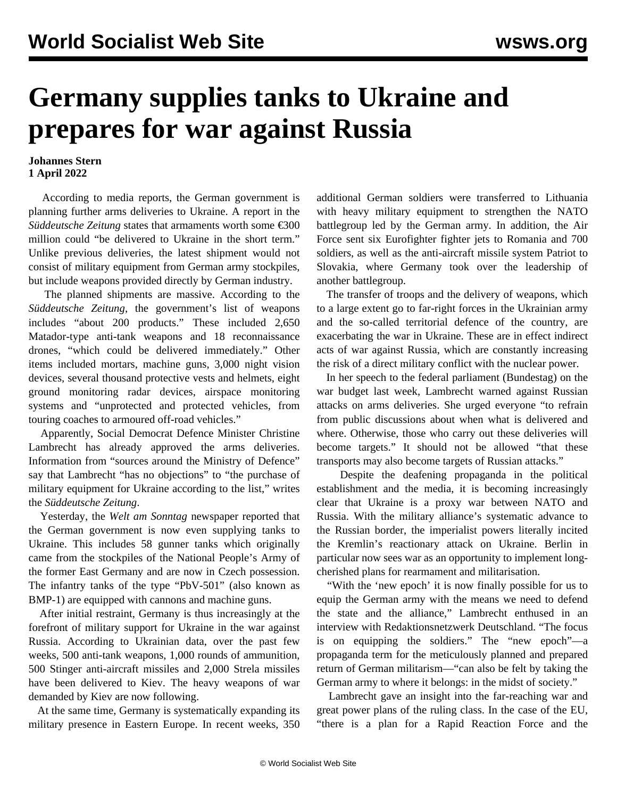## **Germany supplies tanks to Ukraine and prepares for war against Russia**

## **Johannes Stern 1 April 2022**

 According to media reports, the German government is planning further arms deliveries to Ukraine. A report in the *Süddeutsche Zeitung* states that armaments worth some €300 million could "be delivered to Ukraine in the short term." Unlike previous deliveries, the latest shipment would not consist of military equipment from German army stockpiles, but include weapons provided directly by German industry.

 The planned shipments are massive. According to the *Süddeutsche Zeitung*, the government's list of weapons includes "about 200 products." These included 2,650 Matador-type anti-tank weapons and 18 reconnaissance drones, "which could be delivered immediately." Other items included mortars, machine guns, 3,000 night vision devices, several thousand protective vests and helmets, eight ground monitoring radar devices, airspace monitoring systems and "unprotected and protected vehicles, from touring coaches to armoured off-road vehicles."

 Apparently, Social Democrat Defence Minister Christine Lambrecht has already approved the arms deliveries. Information from "sources around the Ministry of Defence" say that Lambrecht "has no objections" to "the purchase of military equipment for Ukraine according to the list," writes the *Süddeutsche Zeitung*.

 Yesterday, the *Welt am Sonntag* newspaper reported that the German government is now even supplying tanks to Ukraine. This includes 58 gunner tanks which originally came from the stockpiles of the National People's Army of the former East Germany and are now in Czech possession. The infantry tanks of the type "PbV-501" (also known as BMP-1) are equipped with cannons and machine guns.

 After initial restraint, Germany is thus increasingly at the forefront of military support for Ukraine in the war against Russia. According to Ukrainian data, over the past few weeks, 500 anti-tank weapons, 1,000 rounds of ammunition, 500 Stinger anti-aircraft missiles and 2,000 Strela missiles have been delivered to Kiev. The heavy weapons of war demanded by Kiev are now following.

 At the same time, Germany is systematically expanding its military presence in Eastern Europe. In recent weeks, 350 additional German soldiers were transferred to Lithuania with heavy military equipment to strengthen the NATO battlegroup led by the German army. In addition, the Air Force sent six Eurofighter fighter jets to Romania and 700 soldiers, as well as the anti-aircraft missile system Patriot to Slovakia, where Germany took over the leadership of another battlegroup.

 The transfer of troops and the delivery of weapons, which to a large extent go to far-right forces in the Ukrainian army and the so-called territorial defence of the country, are exacerbating the war in Ukraine. These are in effect indirect acts of war against Russia, which are constantly increasing the risk of a direct military conflict with the nuclear power.

 In her speech to the federal parliament (Bundestag) on the war budget last week, Lambrecht warned against Russian attacks on arms deliveries. She urged everyone "to refrain from public discussions about when what is delivered and where. Otherwise, those who carry out these deliveries will become targets." It should not be allowed "that these transports may also become targets of Russian attacks."

 Despite the deafening propaganda in the political establishment and the media, it is becoming increasingly clear that Ukraine is a proxy war between NATO and Russia. With the military alliance's systematic advance to the Russian border, the imperialist powers literally incited the Kremlin's reactionary attack on Ukraine. Berlin in particular now sees war as an opportunity to implement longcherished plans for rearmament and militarisation.

 "With the 'new epoch' it is now finally possible for us to equip the German army with the means we need to defend the state and the alliance," Lambrecht enthused in an interview with Redaktionsnetzwerk Deutschland. "The focus is on equipping the soldiers." The "new epoch"—a propaganda term for the meticulously planned and prepared return of German militarism—"can also be felt by taking the German army to where it belongs: in the midst of society."

 Lambrecht gave an insight into the far-reaching war and great power plans of the ruling class. In the case of the EU, "there is a plan for a Rapid Reaction Force and the